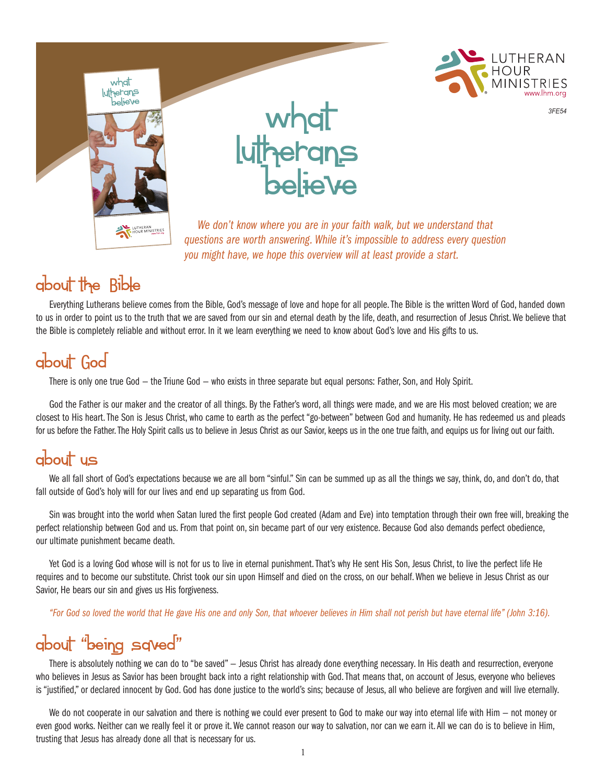



*3FE54*

*We don't know where you are in your faith walk, but we understand that questions are worth answering. While it's impossible to address every question you might have, we hope this overview will at least provide a start.*

#### about the Bible

Everything Lutherans believe comes from the Bible, God's message of love and hope for all people. The Bible is the written Word of God, handed down to us in order to point us to the truth that we are saved from our sin and eternal death by the life, death, and resurrection of Jesus Christ. We believe that the Bible is completely reliable and without error. In it we learn everything we need to know about God's love and His gifts to us.

### about God

There is only one true God — the Triune God — who exists in three separate but equal persons: Father, Son, and Holy Spirit.

God the Father is our maker and the creator of all things. By the Father's word, all things were made, and we are His most beloved creation; we are closest to His heart. The Son is Jesus Christ, who came to earth as the perfect "go-between" between God and humanity. He has redeemed us and pleads for us before the Father. The Holy Spirit calls us to believe in Jesus Christ as our Savior, keeps us in the one true faith, and equips us for living out our faith.

#### about us

We all fall short of God's expectations because we are all born "sinful." Sin can be summed up as all the things we say, think, do, and don't do, that fall outside of God's holy will for our lives and end up separating us from God.

Sin was brought into the world when Satan lured the first people God created (Adam and Eve) into temptation through their own free will, breaking the perfect relationship between God and us. From that point on, sin became part of our very existence. Because God also demands perfect obedience, our ultimate punishment became death.

Yet God is a loving God whose will is not for us to live in eternal punishment. That's why He sent His Son, Jesus Christ, to live the perfect life He requires and to become our substitute. Christ took our sin upon Himself and died on the cross, on our behalf. When we believe in Jesus Christ as our Savior, He bears our sin and gives us His forgiveness.

*"For God so loved the world that He gave His one and only Son, that whoever believes in Him shall not perish but have eternal life" (John 3:16).*

## about "being saved"" "

There is absolutely nothing we can do to "be saved" — Jesus Christ has already done everything necessary. In His death and resurrection, everyone who believes in Jesus as Savior has been brought back into a right relationship with God. That means that, on account of Jesus, everyone who believes is "justified," or declared innocent by God. God has done justice to the world's sins; because of Jesus, all who believe are forgiven and will live eternally.

We do not cooperate in our salvation and there is nothing we could ever present to God to make our way into eternal life with Him – not money or even good works. Neither can we really feel it or prove it. We cannot reason our way to salvation, nor can we earn it. All we can do is to believe in Him, trusting that Jesus has already done all that is necessary for us.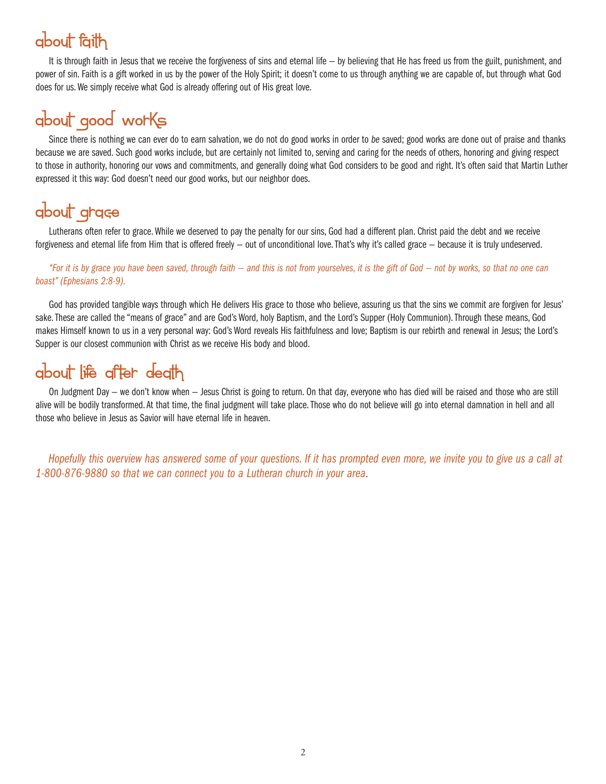#### about faith

It is through faith in Jesus that we receive the forgiveness of sins and eternal life — by believing that He has freed us from the guilt, punishment, and power of sin. Faith is a gift worked in us by the power of the Holy Spirit; it doesn't come to us through anything we are capable of, but through what God does for us. We simply receive what God is already offering out of His great love.

### about good works

Since there is nothing we can ever do to earn salvation, we do not do good works in order to *be* saved; good works are done out of praise and thanks because we are saved. Such good works include, but are certainly not limited to, serving and caring for the needs of others, honoring and giving respect to those in authority, honoring our vows and commitments, and generally doing what God considers to be good and right. It's often said that Martin Luther expressed it this way: God doesn't need our good works, but our neighbor does.

## about grace

Lutherans often refer to grace. While we deserved to pay the penalty for our sins, God had a different plan. Christ paid the debt and we receive forgiveness and eternal life from Him that is offered freely — out of unconditional love. That's why it's called grace — because it is truly undeserved.

*"For it is by grace you have been saved, through faith — and this is not from yourselves, it is the gift of God — not by works, so that no one can boast" (Ephesians 2:8-9).*

God has provided tangible ways through which He delivers His grace to those who believe, assuring us that the sins we commit are forgiven for Jesus' sake. These are called the "means of grace" and are God's Word, holy Baptism, and the Lord's Supper (Holy Communion). Through these means, God makes Himself known to us in a very personal way: God's Word reveals His faithfulness and love; Baptism is our rebirth and renewal in Jesus; the Lord's Supper is our closest communion with Christ as we receive His body and blood.

#### about life after death

On Judgment Day — we don't know when — Jesus Christ is going to return. On that day, everyone who has died will be raised and those who are still alive will be bodily transformed. At that time, the final judgment will take place. Those who do not believe will go into eternal damnation in hell and all those who believe in Jesus as Savior will have eternal life in heaven.

*Hopefully this overview has answered some of your questions. If it has prompted even more, we invite you to give us a call at 1-800-876-9880 so that we can connect you to a Lutheran church in your area*.